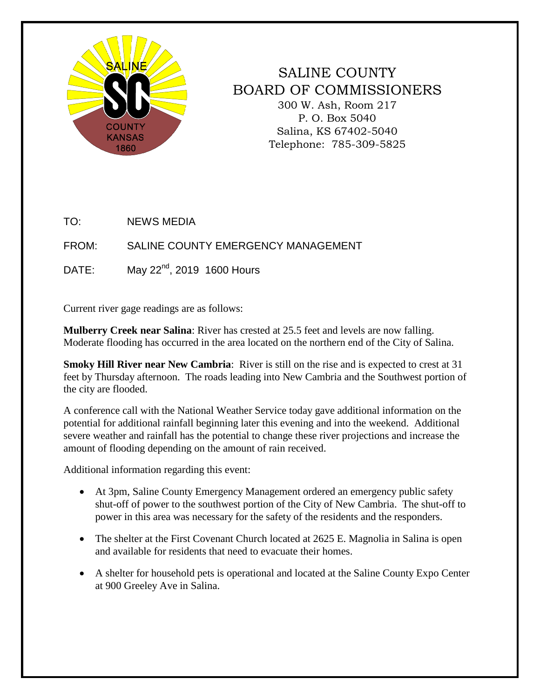

## SALINE COUNTY BOARD OF COMMISSIONERS 300 W. Ash, Room 217 P. O. Box 5040 Salina, KS 67402-5040 Telephone: 785-309-5825

TO: NEWS MEDIA

FROM: SALINE COUNTY EMERGENCY MANAGEMENT

DATE: May  $22<sup>nd</sup>$ , 2019 1600 Hours

Current river gage readings are as follows:

**Mulberry Creek near Salina**: River has crested at 25.5 feet and levels are now falling. Moderate flooding has occurred in the area located on the northern end of the City of Salina.

**Smoky Hill River near New Cambria**: River is still on the rise and is expected to crest at 31 feet by Thursday afternoon. The roads leading into New Cambria and the Southwest portion of the city are flooded.

A conference call with the National Weather Service today gave additional information on the potential for additional rainfall beginning later this evening and into the weekend. Additional severe weather and rainfall has the potential to change these river projections and increase the amount of flooding depending on the amount of rain received.

Additional information regarding this event:

- At 3pm, Saline County Emergency Management ordered an emergency public safety shut-off of power to the southwest portion of the City of New Cambria. The shut-off to power in this area was necessary for the safety of the residents and the responders.
- The shelter at the First Covenant Church located at 2625 E. Magnolia in Salina is open and available for residents that need to evacuate their homes.
- A shelter for household pets is operational and located at the Saline County Expo Center at 900 Greeley Ave in Salina.